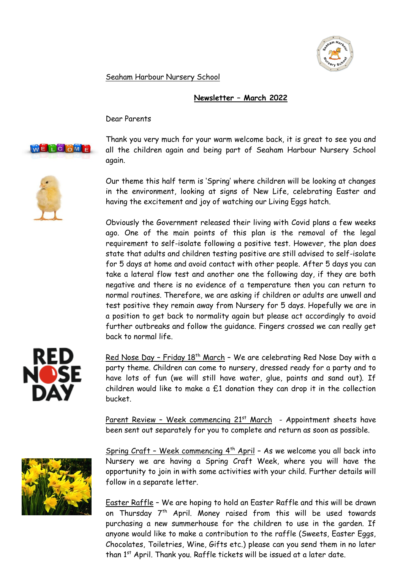

Seaham Harbour Nursery School

## **Newsletter – March 2022**

Dear Parents



Thank you very much for your warm welcome back, it is great to see you and all the children again and being part of Seaham Harbour Nursery School again.

Our theme this half term is 'Spring' where children will be looking at changes in the environment, looking at signs of New Life, celebrating Easter and having the excitement and joy of watching our Living Eggs hatch.

Obviously the Government released their living with Covid plans a few weeks ago. One of the main points of this plan is the removal of the legal requirement to self-isolate following a positive test. However, the plan does state that adults and children testing positive are still advised to self-isolate for 5 days at home and avoid contact with other people. After 5 days you can take a lateral flow test and another one the following day, if they are both negative and there is no evidence of a temperature then you can return to normal routines. Therefore, we are asking if children or adults are unwell and test positive they remain away from Nursery for 5 days. Hopefully we are in a position to get back to normality again but please act accordingly to avoid further outbreaks and follow the guidance. Fingers crossed we can really get back to normal life.



Red Nose Day - Friday 18<sup>th</sup> March - We are celebrating Red Nose Day with a party theme. Children can come to nursery, dressed ready for a party and to have lots of fun (we will still have water, glue, paints and sand out). If children would like to make a  $£1$  donation they can drop it in the collection bucket.

Parent Review - Week commencing  $21^{st}$  March - Appointment sheets have been sent out separately for you to complete and return as soon as possible.



Spring Craft - Week commencing  $4<sup>th</sup>$  April - As we welcome you all back into Nursery we are having a Spring Craft Week, where you will have the opportunity to join in with some activities with your child. Further details will follow in a separate letter.

Easter Raffle – We are hoping to hold an Easter Raffle and this will be drawn on Thursday 7<sup>th</sup> April. Money raised from this will be used towards purchasing a new summerhouse for the children to use in the garden. If anyone would like to make a contribution to the raffle (Sweets, Easter Eggs, Chocolates, Toiletries, Wine, Gifts etc.) please can you send them in no later than 1<sup>st</sup> April. Thank you. Raffle tickets will be issued at a later date.